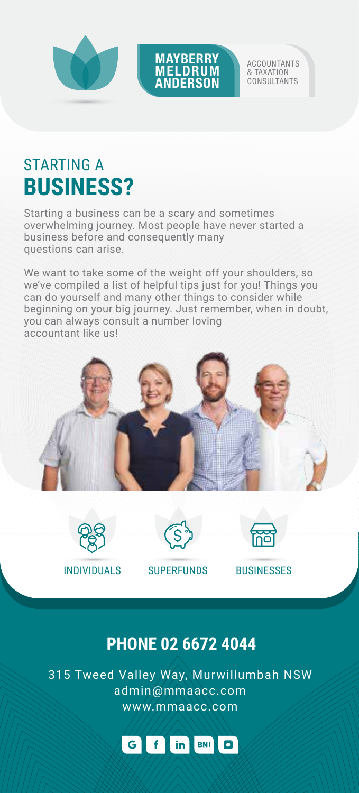



ACCOUNTANTS & TAXATION **CONSULTANTS** 

## STARTING A **BUSINESS?**

Starting a business can be a scary and sometimes overwhelming journey. Most people have never started a business before and consequently many questions can arise.

We want to take some of the weight off your shoulders, so we've compiled a list of helpful tips just for you! Things you can do yourself and many other things to consider while beginning on your big journey. Just remember, when in doubt, you can always consult a number loving accountant like us!





INDIVIDUALS SUPERFUNDS BUSINESSES



### **PHONE 02 6672 4044**

315 Tweed Valley Way, Murwillumbah NSW admin@mmaacc.com www.mmaacc.com